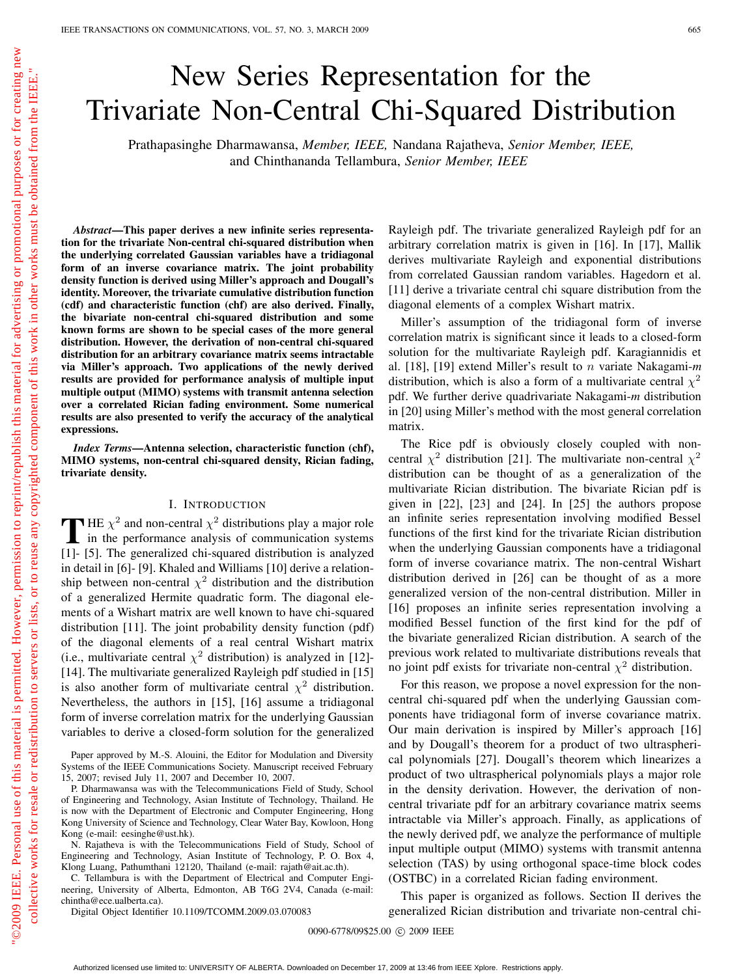# New Series Representation for the Trivariate Non-Central Chi-Squared Distribution

Prathapasinghe Dharmawansa, *Member, IEEE,* Nandana Rajatheva, *Senior Member, IEEE,* and Chinthananda Tellambura, *Senior Member, IEEE*

*Abstract***—This paper derives a new infinite series representation for the trivariate Non-central chi-squared distribution when the underlying correlated Gaussian variables have a tridiagonal form of an inverse covariance matrix. The joint probability density function is derived using Miller's approach and Dougall's identity. Moreover, the trivariate cumulative distribution function (cdf) and characteristic function (chf) are also derived. Finally, the bivariate non-central chi-squared distribution and some known forms are shown to be special cases of the more general distribution. However, the derivation of non-central chi-squared distribution for an arbitrary covariance matrix seems intractable via Miller's approach. Two applications of the newly derived results are provided for performance analysis of multiple input multiple output (MIMO) systems with transmit antenna selection over a correlated Rician fading environment. Some numerical results are also presented to verify the accuracy of the analytical expressions.**

*Index Terms***—Antenna selection, characteristic function (chf), MIMO systems, non-central chi-squared density, Rician fading, trivariate density.**

## I. INTRODUCTION

**T** HE  $\chi^2$  and non-central  $\chi^2$  distributions play a major role<br>in the performance analysis of communication systems [1]- [5]. The generalized chi-squared distribution is analyzed in detail in [6]- [9]. Khaled and Williams [10] derive a relationship between non-central  $\chi^2$  distribution and the distribution of a generalized Hermite quadratic form. The diagonal elements of a Wishart matrix are well known to have chi-squared distribution [11]. The joint probability density function (pdf) of the diagonal elements of a real central Wishart matrix (i.e., multivariate central  $\chi^2$  distribution) is analyzed in [12]-[14]. The multivariate generalized Rayleigh pdf studied in [15] is also another form of multivariate central  $\chi^2$  distribution. Nevertheless, the authors in [15], [16] assume a tridiagonal form of inverse correlation matrix for the underlying Gaussian variables to derive a closed-form solution for the generalized

Paper approved by M.-S. Alouini, the Editor for Modulation and Diversity Systems of the IEEE Communications Society. Manuscript received February 15, 2007; revised July 11, 2007 and December 10, 2007.

P. Dharmawansa was with the Telecommunications Field of Study, School of Engineering and Technology, Asian Institute of Technology, Thailand. He is now with the Department of Electronic and Computer Engineering, Hong Kong University of Science and Technology, Clear Water Bay, Kowloon, Hong Kong (e-mail: eesinghe@ust.hk).

N. Rajatheva is with the Telecommunications Field of Study, School of Engineering and Technology, Asian Institute of Technology, P. O. Box 4, Klong Luang, Pathumthani 12120, Thailand (e-mail: rajath@ait.ac.th).

C. Tellambura is with the Department of Electrical and Computer Engineering, University of Alberta, Edmonton, AB T6G 2V4, Canada (e-mail: chintha@ece.ualberta.ca).

Digital Object Identifier 10.1109/TCOMM.2009.03.070083

Rayleigh pdf. The trivariate generalized Rayleigh pdf for an arbitrary correlation matrix is given in [16]. In [17], Mallik derives multivariate Rayleigh and exponential distributions from correlated Gaussian random variables. Hagedorn et al. [11] derive a trivariate central chi square distribution from the diagonal elements of a complex Wishart matrix.

Miller's assumption of the tridiagonal form of inverse correlation matrix is significant since it leads to a closed-form solution for the multivariate Rayleigh pdf. Karagiannidis et al. [18], [19] extend Miller's result to n variate Nakagami-*m* distribution, which is also a form of a multivariate central  $\chi^2$ pdf. We further derive quadrivariate Nakagami-*m* distribution in [20] using Miller's method with the most general correlation matrix.

The Rice pdf is obviously closely coupled with noncentral  $\chi^2$  distribution [21]. The multivariate non-central  $\chi^2$ distribution can be thought of as a generalization of the multivariate Rician distribution. The bivariate Rician pdf is given in [22], [23] and [24]. In [25] the authors propose an infinite series representation involving modified Bessel functions of the first kind for the trivariate Rician distribution when the underlying Gaussian components have a tridiagonal form of inverse covariance matrix. The non-central Wishart distribution derived in [26] can be thought of as a more generalized version of the non-central distribution. Miller in [16] proposes an infinite series representation involving a modified Bessel function of the first kind for the pdf of the bivariate generalized Rician distribution. A search of the previous work related to multivariate distributions reveals that no joint pdf exists for trivariate non-central  $\chi^2$  distribution.

For this reason, we propose a novel expression for the noncentral chi-squared pdf when the underlying Gaussian components have tridiagonal form of inverse covariance matrix. Our main derivation is inspired by Miller's approach [16] and by Dougall's theorem for a product of two ultraspherical polynomials [27]. Dougall's theorem which linearizes a product of two ultraspherical polynomials plays a major role in the density derivation. However, the derivation of noncentral trivariate pdf for an arbitrary covariance matrix seems intractable via Miller's approach. Finally, as applications of the newly derived pdf, we analyze the performance of multiple input multiple output (MIMO) systems with transmit antenna selection (TAS) by using orthogonal space-time block codes (OSTBC) in a correlated Rician fading environment.

This paper is organized as follows. Section II derives the generalized Rician distribution and trivariate non-central chi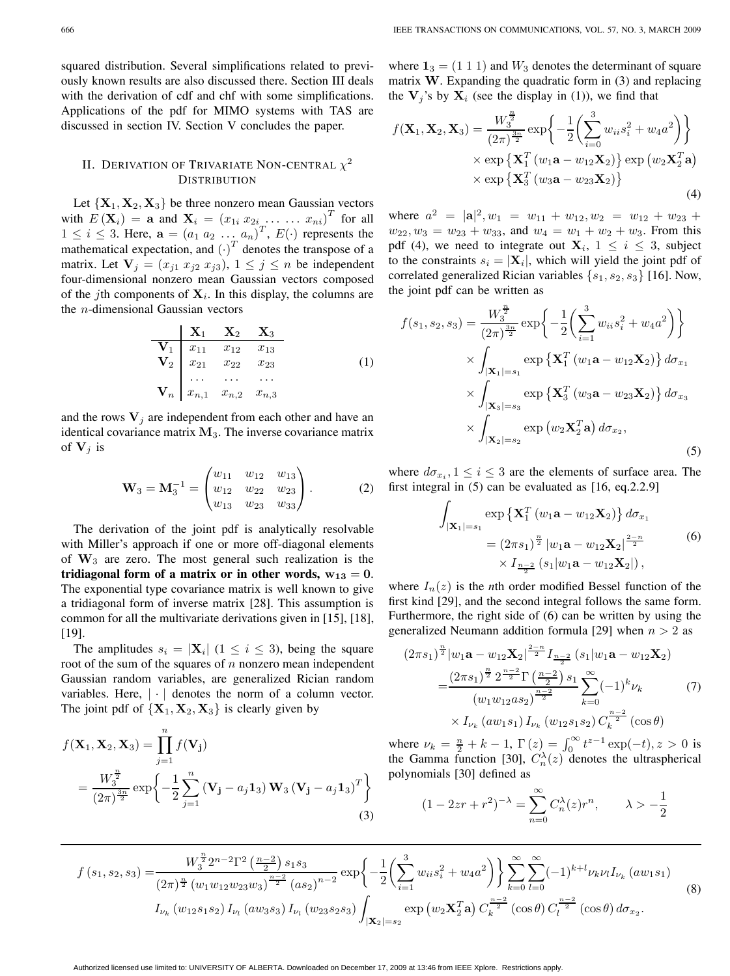squared distribution. Several simplifications related to previously known results are also discussed there. Section III deals with the derivation of cdf and chf with some simplifications. Applications of the pdf for MIMO systems with TAS are discussed in section IV. Section V concludes the paper.

## II. DERIVATION OF TRIVARIATE NON-CENTRAL  $\chi^2$ **DISTRIBUTION**

Let  $\{X_1, X_2, X_3\}$  be three nonzero mean Gaussian vectors with  $E(\mathbf{X}_i) = \mathbf{a}$  and  $\mathbf{X}_i = (x_{1i} x_{2i} \dots x_{ni})^T$  for all<br>  $1 \leq i \leq 3$ . Here  $\mathbf{a} = (a_i, a_i, a_i)^T$   $E(.)$  represents the  $1 \leq i \leq 3$ . Here,  $\mathbf{a} = (a_1 \ a_2 \ \dots \ a_n)^T$ ,  $E(\cdot)$  represents the mathematical expectation and  $(\cdot)^T$  denotes the transpose of a mathematical expectation, and  $\left(\cdot\right)^T$  denotes the transpose of a<br>matrix Let  $\mathbf{V} = (x_1, x_2, x_3)$ ,  $1 \le i \le n$  be independent matrix. Let  $\mathbf{V}_j = (x_{j1} \ x_{j2} \ x_{j3}), 1 \leq j \leq n$  be independent four-dimensional nonzero mean Gaussian vectors composed of the jth components of  $X_i$ . In this display, the columns are the n-dimensional Gaussian vectors

$$
\begin{array}{c|ccccc}\n & X_1 & X_2 & X_3 \\
\hline\nV_1 & x_{11} & x_{12} & x_{13} \\
V_2 & x_{21} & x_{22} & x_{23} \\
\vdots & \vdots & \ddots & \vdots \\
V_n & x_{n,1} & x_{n,2} & x_{n,3}\n\end{array} (1)
$$

and the rows  $V_j$  are independent from each other and have an identical covariance matrix **<sup>M</sup>**3. The inverse covariance matrix of  $V_i$  is

$$
\mathbf{W}_3 = \mathbf{M}_3^{-1} = \begin{pmatrix} w_{11} & w_{12} & w_{13} \\ w_{12} & w_{22} & w_{23} \\ w_{13} & w_{23} & w_{33} \end{pmatrix} . \tag{2}
$$

The derivation of the joint pdf is analytically resolvable with Miller's approach if one or more off-diagonal elements of **<sup>W</sup>**3 are zero. The most general such realization is the **tridiagonal form of a matrix or in other words,**  $w_{13} = 0$ **.** The exponential type covariance matrix is well known to give a tridiagonal form of inverse matrix [28]. This assumption is common for all the multivariate derivations given in [15], [18], [19].

The amplitudes  $s_i = |\mathbf{X}_i|$  ( $1 \leq i \leq 3$ ), being the square root of the sum of the squares of  $n$  nonzero mean independent Gaussian random variables, are generalized Rician random variables. Here, |·| denotes the norm of a column vector. The joint pdf of  $\{X_1, X_2, X_3\}$  is clearly given by

$$
f(\mathbf{X}_1, \mathbf{X}_2, \mathbf{X}_3) = \prod_{j=1}^n f(\mathbf{V}_j)
$$
  
=  $\frac{W_3^{\frac{n}{2}}}{(2\pi)^{\frac{3n}{2}}} \exp\left\{-\frac{1}{2} \sum_{j=1}^n (\mathbf{V}_j - a_j \mathbf{1}_3) \mathbf{W}_3 (\mathbf{V}_j - a_j \mathbf{1}_3)^T\right\}$  (3)

where  $\mathbf{1}_3 = (1\ 1\ 1)$  and  $W_3$  denotes the determinant of square matrix **W**. Expanding the quadratic form in (3) and replacing the  $V_j$ 's by  $X_i$  (see the display in (1)), we find that

$$
f(\mathbf{X}_1, \mathbf{X}_2, \mathbf{X}_3) = \frac{W_3^{\frac{n}{2}}}{(2\pi)^{\frac{3n}{2}}} \exp\left\{-\frac{1}{2} \left(\sum_{i=0}^3 w_{ii} s_i^2 + w_4 a^2\right)\right\}
$$

$$
\times \exp\left\{\mathbf{X}_1^T \left(w_1 \mathbf{a} - w_{12} \mathbf{X}_2\right)\right\} \exp\left(w_2 \mathbf{X}_2^T \mathbf{a}\right)
$$

$$
\times \exp\left\{\mathbf{X}_3^T \left(w_3 \mathbf{a} - w_{23} \mathbf{X}_2\right)\right\}
$$
(4)

where  $a^2 = |\mathbf{a}|^2$ ,  $w_1 = w_{11} + w_{12}$ ,  $w_2 = w_{12} + w_{23} + w_{24}$ <br>was  $w_2 = w_{12} + w_{23} + w_{24} + w_{34} + w_{45}$ . From this  $w_{22}, w_3 = w_{23} + w_{33}$ , and  $w_4 = w_1 + w_2 + w_3$ . From this pdf (4), we need to integrate out  $X_i$ ,  $1 \leq i \leq 3$ , subject to the constraints  $s_i = |\mathbf{X}_i|$ , which will yield the joint pdf of correlated generalized Rician variables  $\{s_1, s_2, s_3\}$  [16]. Now, the joint pdf can be written as

$$
f(s_1, s_2, s_3) = \frac{W_3^{\frac{n}{2}}}{(2\pi)^{\frac{3n}{2}}} \exp\left\{-\frac{1}{2}\left(\sum_{i=1}^3 w_{ii}s_i^2 + w_4 a^2\right)\right\}
$$

$$
\times \int_{|\mathbf{X}_1| = s_1} \exp\left\{\mathbf{X}_1^T (w_1 \mathbf{a} - w_{12} \mathbf{X}_2)\right\} d\sigma_{x_1}
$$

$$
\times \int_{|\mathbf{X}_3| = s_3} \exp\left\{\mathbf{X}_3^T (w_3 \mathbf{a} - w_{23} \mathbf{X}_2)\right\} d\sigma_{x_3}
$$

$$
\times \int_{|\mathbf{X}_2| = s_2} \exp(w_2 \mathbf{X}_2^T \mathbf{a}) d\sigma_{x_2}, \tag{5}
$$

where  $d\sigma_{x_i}$ ,  $1 \leq i \leq 3$  are the elements of surface area. The first integral in  $(5)$  can be evaluated as  $[16, eq.2.2.9]$ 

$$
\int_{|\mathbf{X}_1| = s_1} \exp \left\{ \mathbf{X}_1^T \left( w_1 \mathbf{a} - w_{12} \mathbf{X}_2 \right) \right\} d\sigma_{x_1}
$$
\n
$$
= \left( 2\pi s_1 \right)^{\frac{n}{2}} \left| w_1 \mathbf{a} - w_{12} \mathbf{X}_2 \right|^{\frac{2-n}{2}} \times I_{\frac{n-2}{2}} \left( s_1 | w_1 \mathbf{a} - w_{12} \mathbf{X}_2 \right| \right), \tag{6}
$$

where  $I_n(z)$  is the *n*th order modified Bessel function of the first kind [29], and the second integral follows the same form. Furthermore, the right side of (6) can be written by using the generalized Neumann addition formula [29] when  $n > 2$  as

$$
(2\pi s_1)^{\frac{n}{2}} |w_1 \mathbf{a} - w_{12} \mathbf{X}_2|^{\frac{2-n}{2}} I_{\frac{n-2}{2}}(s_1 | w_1 \mathbf{a} - w_{12} \mathbf{X}_2)
$$
  
= 
$$
\frac{(2\pi s_1)^{\frac{n}{2}} 2^{\frac{n-2}{2}} \Gamma(\frac{n-2}{2}) s_1}{(w_1 w_{12} a s_2)^{\frac{n-2}{2}}} \sum_{k=0}^{\infty} (-1)^k \nu_k
$$

$$
\times I_{\nu_k} (aw_1 s_1) I_{\nu_k} (w_{12} s_1 s_2) C_k^{\frac{n-2}{2}}(\cos \theta)
$$

where  $\nu_k = \frac{n}{2} + k - 1$ ,  $\Gamma(z) = \int_0^\infty t^{z-1} \exp(-t)$ ,  $z > 0$  is the Gamma function [30]  $C^{\lambda}(z)$  denotes the ultraspherical the Gamma function [30],  $C_n^{\lambda}(z)$  denotes the ultraspherical<br>polynomials [30] defined as polynomials [30] defined as

$$
(1 - 2xr + r2)- $\lambda$  = \sum_{n=0}^{\infty} C_n^{\lambda}(z)r^n, \qquad \lambda > -\frac{1}{2}
$$

$$
f(s_1, s_2, s_3) = \frac{W_3^{\frac{n}{2}} 2^{n-2} \Gamma^2 \left(\frac{n-2}{2}\right) s_1 s_3}{(2\pi)^{\frac{n}{2}} \left(w_1 w_{12} w_{23} w_3\right)^{\frac{n-2}{2}} (as_2)^{n-2}} \exp\left\{-\frac{1}{2} \left(\sum_{i=1}^3 w_{ii} s_i^2 + w_4 a^2\right)\right\} \sum_{k=0}^\infty \sum_{l=0}^\infty (-1)^{k+l} \nu_k \nu_l I_{\nu_k} \left(aw_1 s_1\right)
$$
  
\n
$$
I_{\nu_k} \left(w_{12} s_1 s_2\right) I_{\nu_l} \left(aw_3 s_3\right) I_{\nu_l} \left(w_{23} s_2 s_3\right) \int_{|\mathbf{X}_2| = s_2} \exp\left(w_2 \mathbf{X}_2^T \mathbf{a}\right) C_k^{\frac{n-2}{2}} \left(\cos \theta\right) C_l^{\frac{n-2}{2}} \left(\cos \theta\right) d\sigma_{x_2}.
$$
\n(8)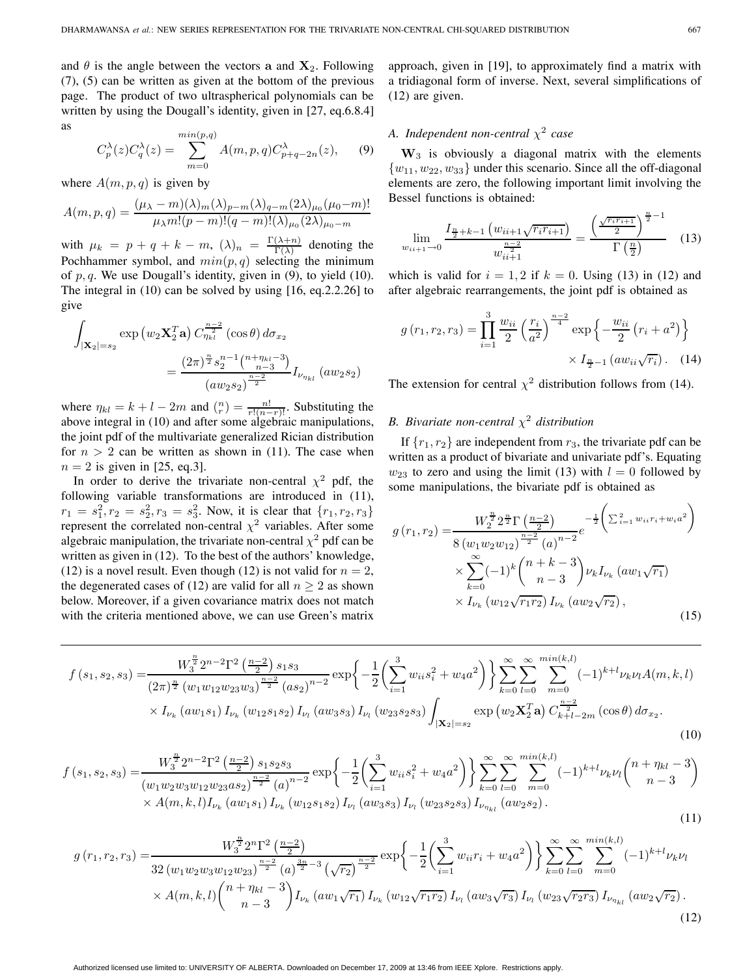and  $\theta$  is the angle between the vectors **a** and  $X_2$ . Following (7), (5) can be written as given at the bottom of the previous page. The product of two ultraspherical polynomials can be written by using the Dougall's identity, given in [27, eq.6.8.4] as

$$
C_p^{\lambda}(z)C_q^{\lambda}(z) = \sum_{m=0}^{\min(p,q)} A(m,p,q)C_{p+q-2n}^{\lambda}(z), \qquad (9)
$$

where  $A(m, p, q)$  is given by

$$
A(m, p, q) = \frac{(\mu_{\lambda} - m)(\lambda)_{m}(\lambda)_{p-m}(\lambda)_{q-m}(2\lambda)_{\mu_{0}}(\mu_{0} - m)!}{\mu_{\lambda}m!(p-m)!(q-m)!(\lambda)_{\mu_{0}}(2\lambda)_{\mu_{0}}-m}
$$

with  $\mu_k = p + q + k - m$ ,  $(\lambda)_n = \frac{\Gamma(\lambda+n)}{\Gamma(\lambda)}$  denoting the Pochhammer symbol, and  $min(p, q)$  selecting the minimum<br>of  $p, q$ . We use Dougall's identity given in (9) to yield (10) of  $p, q$ . We use Dougall's identity, given in (9), to yield (10). The integral in (10) can be solved by using [16, eq.2.2.26] to give

$$
\int_{|\mathbf{X}_2|=s_2} \exp(w_2 \mathbf{X}_2^T \mathbf{a}) C_{\eta_{kl}}^{\frac{n-2}{2}}(\cos \theta) d\sigma_{x_2}
$$

$$
= \frac{(2\pi)^{\frac{n}{2}} s_2^{n-1} {n+\eta_{kl}-3 \choose n-3}}{(a w_2 s_2)^{\frac{n-2}{2}}} I_{\nu_{\eta_{kl}}}(a w_2 s_2)
$$

where  $\eta_{kl} = k + l - 2m$  and  $\binom{n}{r} = \frac{n!}{r!(n-r)!}$ . Substituting the above integral in (10) and after some algebraic manipulations above integral in (10) and after some algebraic manipulations, the joint pdf of the multivariate generalized Rician distribution for  $n > 2$  can be written as shown in (11). The case when  $n = 2$  is given in [25, eq.3].

In order to derive the trivariate non-central  $\chi^2$  pdf, the following variable transformations are introduced in (11),  $r_1 = s_1^2, r_2 = s_2^2, r_3 = s_3^2$ . Now, it is clear that  $\{r_1, r_2, r_3\}$ <br>represent the correlated non-central  $x^2$  variables. After some represent the correlated non-central  $\chi^2$  variables. After some algebraic manipulation, the trivariate non-central  $\chi^2$  pdf can be written as given in (12). To the best of the authors' knowledge, (12) is a novel result. Even though (12) is not valid for  $n = 2$ , the degenerated cases of (12) are valid for all  $n > 2$  as shown below. Moreover, if a given covariance matrix does not match with the criteria mentioned above, we can use Green's matrix

approach, given in [19], to approximately find a matrix with a tridiagonal form of inverse. Next, several simplifications of (12) are given.

# *A. Independent non-central* χ<sup>2</sup> *case*

**<sup>W</sup>**3 is obviously a diagonal matrix with the elements  ${w_{11}, w_{22}, w_{33}}$  under this scenario. Since all the off-diagonal elements are zero, the following important limit involving the Bessel functions is obtained:

$$
\lim_{w_{ii+1}\to 0} \frac{I_{\frac{n}{2}+k-1} \left( w_{ii+1} \sqrt{r_i r_{i+1}} \right)}{w_{ii+1}^{\frac{n-2}{2}}} = \frac{\left( \frac{\sqrt{r_i r_{i+1}}}{2} \right)^{\frac{n}{2}-1}}{\Gamma \left( \frac{n}{2} \right)} \tag{13}
$$

which is valid for  $i = 1, 2$  if  $k = 0$ . Using (13) in (12) and after algebraic rearrangements, the joint pdf is obtained as

$$
g(r_1, r_2, r_3) = \prod_{i=1}^{3} \frac{w_{ii}}{2} \left(\frac{r_i}{a^2}\right)^{\frac{n-2}{4}} \exp\left\{-\frac{w_{ii}}{2} \left(r_i + a^2\right)\right\}
$$

$$
\times I_{\frac{n}{2}-1} \left( a w_{ii} \sqrt{r_i} \right). \quad (14)
$$

The extension for central  $\chi^2$  distribution follows from (14).

# *B. Bivariate non-central*  $\chi^2$  *distribution*

If  ${r_1, r_2}$  are independent from  $r_3$ , the trivariate pdf can be written as a product of bivariate and univariate pdf's. Equating  $w_{23}$  to zero and using the limit (13) with  $l = 0$  followed by some manipulations, the bivariate pdf is obtained as

$$
g(r_1, r_2) = \frac{W_2^{\frac{n}{2}} 2^{\frac{n}{2}} \Gamma\left(\frac{n-2}{2}\right)}{8 \left(w_1 w_2 w_{12}\right)^{\frac{n-2}{2}} (a)^{n-2}} e^{-\frac{1}{2} \left(\sum_{i=1}^2 w_{ii} r_i + w_i a^2\right)} \times \sum_{k=0}^{\infty} (-1)^k {n+k-3 \choose n-3} \nu_k I_{\nu_k} (aw_1 \sqrt{r_1}) \times I_{\nu_k} (w_{12} \sqrt{r_1 r_2}) I_{\nu_k} (aw_2 \sqrt{r_2}),
$$
\n(15)

$$
f(s_1, s_2, s_3) = \frac{W_3^{\frac{n}{2}} 2^{n-2} \Gamma^2 \left(\frac{n-2}{2}\right) s_1 s_3}{(2\pi)^{\frac{n}{2}} \left(w_1 w_{12} w_{23} w_3\right)^{\frac{n-2}{2}} \left(as_2\right)^{n-2}} \exp\left\{-\frac{1}{2} \left(\sum_{i=1}^3 w_{ii} s_i^2 + w_4 a^2\right) \right\} \sum_{k=0}^\infty \sum_{l=0}^\infty \sum_{m=0}^{\min(k,l)} (-1)^{k+l} \nu_k \nu_l A(m, k, l) \times I_{\nu_k} \left( a w_1 s_1 \right) I_{\nu_k} \left( w_1 s_1 s_2 \right) I_{\nu_l} \left( a w_3 s_3 \right) I_{\nu_l} \left( w_2 s_3 s_3 \right) \int_{|\mathbf{X}_2| = s_2} \exp\left(w_2 \mathbf{X}_2^T \mathbf{a}\right) C_{k+l-2m}^{\frac{n-2}{2}} \left(\cos \theta\right) d\sigma_{x_2}.
$$
\n
$$
(10)
$$

$$
f(s_1, s_2, s_3) = \frac{W_3^{\frac{n}{2}} 2^{n-2} \Gamma^2 \left(\frac{n-2}{2}\right) s_1 s_2 s_3}{(w_1 w_2 w_3 w_{12} w_{23} a s_2)^{\frac{n-2}{2}} (a)^{n-2}} \exp\left\{-\frac{1}{2} \left(\sum_{i=1}^3 w_{ii} s_i^2 + w_4 a^2\right)\right\} \sum_{k=0}^{\infty} \sum_{l=0}^{\infty} \sum_{m=0}^{\min(k,l)} (-1)^{k+l} \nu_k \nu_l \binom{n+\eta_{kl}-3}{n-3} \times A(m, k, l) I_{\nu_k} (aw_1 s_1) I_{\nu_k} (w_{12} s_1 s_2) I_{\nu_l} (aw_3 s_3) I_{\nu_l} (w_{23} s_2 s_3) I_{\nu_{\eta_{kl}}}(aw_2 s_2).
$$
\n
$$
(11)
$$

$$
g(r_1, r_2, r_3) = \frac{W_3^{\frac{n}{2}} 2^n \Gamma^2 \left(\frac{n-2}{2}\right)}{32 \left(w_1 w_2 w_3 w_{12} w_{23}\right)^{\frac{n-2}{2}} (a)^{\frac{3n}{2}-3} \left(\sqrt{r_2}\right)^{\frac{n-2}{2}}} \exp\left\{-\frac{1}{2} \left(\sum_{i=1}^3 w_{ii} r_i + w_4 a^2\right)\right\} \sum_{k=0}^\infty \sum_{l=0}^\infty \sum_{m=0}^{\min(k,l)} (-1)^{k+l} \nu_k \nu_l
$$
  
×  $A(m, k, l) \binom{n + \eta_{kl} - 3}{n-3} I_{\nu_k} \left(aw_1 \sqrt{r_1}\right) I_{\nu_k} \left(w_{12} \sqrt{r_1 r_2}\right) I_{\nu_l} \left(aw_3 \sqrt{r_3}\right) I_{\nu_l} \left(w_{23} \sqrt{r_2 r_3}\right) I_{\nu_{\eta_{kl}}} \left(aw_2 \sqrt{r_2}\right).$  (12)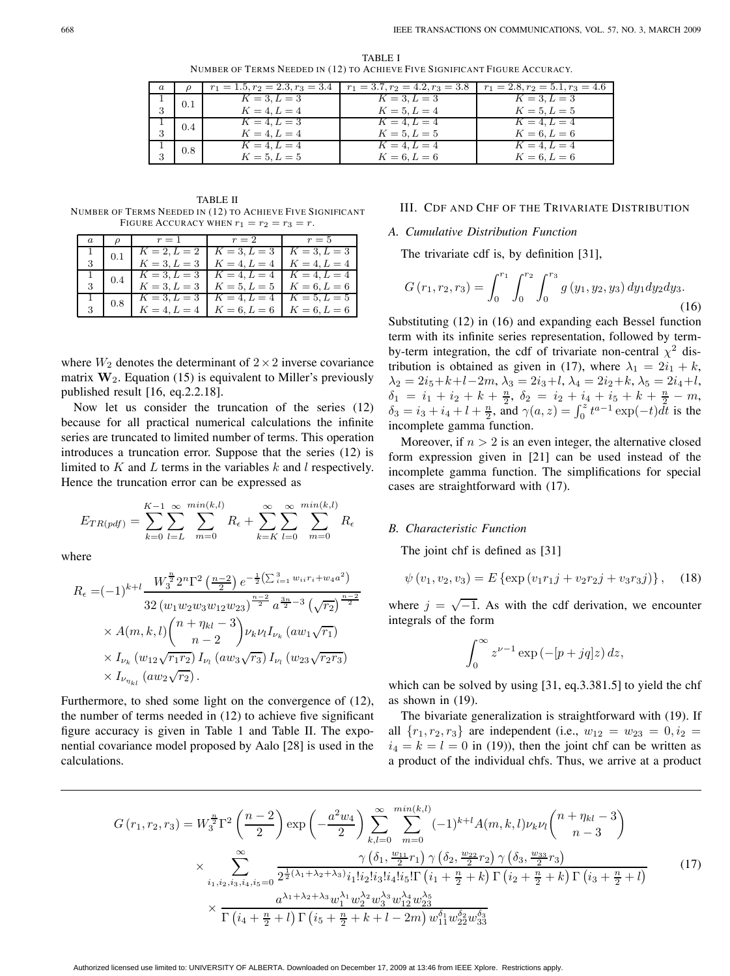| a |     |                | $r_1 = 1.5, r_2 = 2.3, r_3 = 3.4 \mid r_1 = 3.7, r_2 = 4.2, r_3 = 3.8$ | $r_1 = 2.8, r_2 = 5.1, r_3 = 4.6$ |
|---|-----|----------------|------------------------------------------------------------------------|-----------------------------------|
|   | 0.1 | $K = 3, L = 3$ | $K = 3, L = 3$                                                         | $K = 3, L = 3$                    |
|   |     | $K = 4, L = 4$ | $K = 5, L = 4$                                                         | $K = 5, L = 5$                    |
|   | 0.4 | $K = 4, L = 3$ | $K = 4, L = 4$                                                         | $K = 4, L = 4$                    |
|   |     | $K = 4, L = 4$ | $K = 5, L = 5$                                                         | $K = 6, L = 6$                    |
|   | 0.8 | $K = 4, L = 4$ | $K = 4, L = 4$                                                         | $K = 4, L = 4$                    |
|   |     | $K = 5, L = 5$ | $K = 6, L = 6$                                                         | $K = 6, L = 6$                    |

TABLE I NUMBER OF TERMS NEEDED IN (12) TO ACHIEVE FIVE SIGNIFICANT FIGURE ACCURACY.

TABLE II NUMBER OF TERMS NEEDED IN (12) TO ACHIEVE FIVE SIGNIFICANT FIGURE ACCURACY WHEN  $r_1 = r_2 = r_3 = r$ .

| a. | $\mathcal{O}$ | $r=1$          | $r=2$                           | $r=5$          |
|----|---------------|----------------|---------------------------------|----------------|
|    | 0.1           | $K = 2, L = 2$ | $K = 3, L = 3$                  | $K = 3, L = 3$ |
|    |               | $K = 3, L = 3$ | $K = 4, L = 4$                  | $K = 4, L = 4$ |
|    | 0.4           | $K = 3, L = 3$ | $K = 4, L = 4$                  | $K = 4, L = 4$ |
|    |               | $K = 3, L = 3$ | $K = 5, L = 5$                  | $K = 6, L = 6$ |
|    | 0.8           | $K = 3, L = 3$ | $K = 4, L = 4$   $K = 5, L = 5$ |                |
|    |               | $K = 4, L = 4$ | $K = 6, L = 6$                  | $K = 6, L = 6$ |

where  $W_2$  denotes the determinant of  $2 \times 2$  inverse covariance matrix  $W_2$ . Equation (15) is equivalent to Miller's previously published result [16, eq.2.2.18].

Now let us consider the truncation of the series (12) because for all practical numerical calculations the infinite series are truncated to limited number of terms. This operation introduces a truncation error. Suppose that the series (12) is limited to  $K$  and  $L$  terms in the variables  $k$  and  $l$  respectively. Hence the truncation error can be expressed as

$$
E_{TR(pdf)} = \sum_{k=0}^{K-1} \sum_{l=L}^{\infty} \sum_{m=0}^{min(k,l)} R_{\epsilon} + \sum_{k=K}^{\infty} \sum_{l=0}^{\infty} \sum_{m=0}^{min(k,l)} R_{\epsilon}
$$

where

$$
R_{\epsilon} = (-1)^{k+l} \frac{W_3^{\frac{n}{2}} 2^n \Gamma^2 \left(\frac{n-2}{2}\right) e^{-\frac{1}{2} \left(\sum_{i=1}^3 w_{ii} r_i + w_{4} a^2\right)}}{32 \left(w_1 w_2 w_3 w_{12} w_{23}\right)^{\frac{n-2}{2}} a^{\frac{3n}{2} - 3} \left(\sqrt{r_2}\right)^{\frac{n-2}{2}}}
$$
  
×  $A(m, k, l) \binom{n + \eta_{kl} - 3}{n - 2} \nu_k \nu_l I_{\nu_k} (a w_1 \sqrt{r_1})$   
×  $I_{\nu_k} (w_{12} \sqrt{r_1 r_2}) I_{\nu_l} (a w_3 \sqrt{r_3}) I_{\nu_l} (w_{23} \sqrt{r_2 r_3})$   
×  $I_{\nu_{\eta_{kl}}}(a w_2 \sqrt{r_2})$ .

Furthermore, to shed some light on the convergence of (12), the number of terms needed in (12) to achieve five significant figure accuracy is given in Table 1 and Table II. The exponential covariance model proposed by Aalo [28] is used in the calculations.

# III. CDF AND CHF OF THE TRIVARIATE DISTRIBUTION

## *A. Cumulative Distribution Function*

The trivariate cdf is, by definition [31],

$$
G(r_1, r_2, r_3) = \int_0^{r_1} \int_0^{r_2} \int_0^{r_3} g(y_1, y_2, y_3) dy_1 dy_2 dy_3.
$$
\n(16)

Substituting (12) in (16) and expanding each Bessel function term with its infinite series representation, followed by termby-term integration, the cdf of trivariate non-central  $\chi^2$  distribution is obtained as given in (17), where  $\lambda_1 = 2i_1 + k$ ,  $\lambda_2 = 2i_5 + k + l - 2m$ ,  $\lambda_3 = 2i_3 + l$ ,  $\lambda_4 = 2i_2 + k$ ,  $\lambda_5 = 2i_4 + l$ ,  $\delta_1 = i_1 + i_2 + k + \frac{n}{2}, \ \delta_2 = i_2 + i_4 + i_5 + k + \frac{n}{2} - m,$ <br>  $\delta_2 = i_2 + i_4 + l + \frac{n}{2}$  and  $\gamma(a, z) = \int_0^z t^{a-1} \exp(-t) dt$  is the  $\delta_3 = i_3 + i_4 + l + \frac{n}{2}$ , and  $\gamma(a, z) = \int_0^z t^{a-1} \exp(-t) dt$  is the incomplete gamma function incomplete gamma function.

Moreover, if  $n > 2$  is an even integer, the alternative closed form expression given in [21] can be used instead of the incomplete gamma function. The simplifications for special cases are straightforward with (17).

#### *B. Characteristic Function*

The joint chf is defined as [31]

$$
\psi(v_1, v_2, v_3) = E \{ \exp(v_1 r_1 j + v_2 r_2 j + v_3 r_3 j) \}, \quad (18)
$$

where  $j = \sqrt{-1}$ . As with the cdf derivation, we encounter integrals of the form

$$
\int_0^\infty z^{\nu-1} \exp\left(-[p+jq]z\right) dz,
$$

which can be solved by using [31, eq. 3.381.5] to yield the chf as shown in (19).

The bivariate generalization is straightforward with (19). If all  $\{r_1, r_2, r_3\}$  are independent (i.e.,  $w_{12} = w_{23} = 0, i_2 = 1$  $i_4 = k = l = 0$  in (19)), then the joint chf can be written as a product of the individual chfs. Thus, we arrive at a product

$$
G(r_1, r_2, r_3) = W_3^{\frac{n}{2}} \Gamma^2 \left(\frac{n-2}{2}\right) \exp\left(-\frac{a^2 w_4}{2}\right) \sum_{k,l=0}^{\infty} \sum_{m=0}^{\min(k,l)} (-1)^{k+l} A(m, k, l) \nu_k \nu_l \binom{n+\eta_{kl}-3}{n-3}
$$
  

$$
\times \sum_{i_1, i_2, i_3, i_4, i_5=0}^{\infty} \frac{\gamma \left(\delta_1, \frac{w_{11}}{2} r_1\right) \gamma \left(\delta_2, \frac{w_{22}}{2} r_2\right) \gamma \left(\delta_3, \frac{w_{33}}{2} r_3\right)}{\frac{a^{\lambda_1 + \lambda_2 + \lambda_3} v_1! i_2! i_3! i_4! i_5! \Gamma \left(i_1 + \frac{n}{2} + k\right) \Gamma \left(i_2 + \frac{n}{2} + k\right) \Gamma \left(i_3 + \frac{n}{2} + l\right)}
$$
(17)  

$$
\times \frac{a^{\lambda_1 + \lambda_2 + \lambda_3} w_1^{\lambda_1} w_2^{\lambda_2} w_3^{\lambda_3} w_1^{\lambda_4} w_2^{\lambda_5}}{\Gamma \left(i_4 + \frac{n}{2} + l\right) \Gamma \left(i_5 + \frac{n}{2} + k + l - 2m\right) w_1^{\delta_1} w_2^{\delta_2} w_3^{\delta_3}}
$$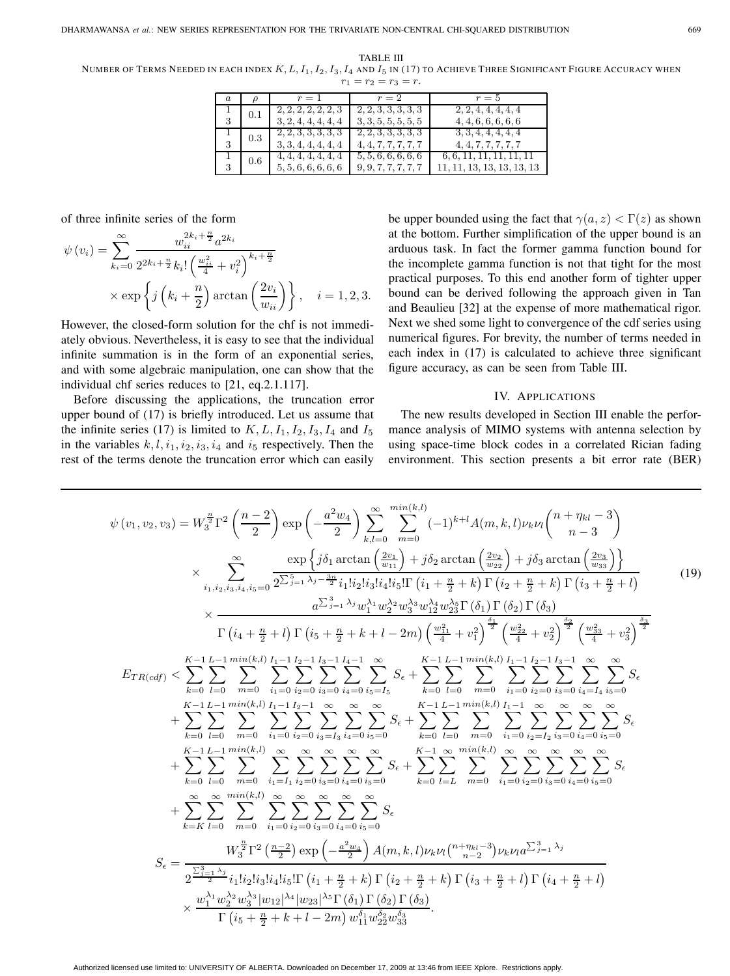TABLE III NUMBER OF TERMS NEEDED IN EACH INDEX  $K, L, I_1, I_2, I_3, I_4$  and  $I_5$  in (17) to Achieve Three Significant Figure Accuracy when  $r_1 = r_2 = r_3 = r.$ 

| $\alpha$ |     | $r=1$               | $r=2$               | $r=5$                      |
|----------|-----|---------------------|---------------------|----------------------------|
|          | 0.1 | 2, 2, 2, 2, 2, 2, 3 | 2, 2, 3, 3, 3, 3, 3 | 2, 2, 4, 4, 4, 4, 4        |
| 3        |     | 3, 2, 4, 4, 4, 4, 4 | 3, 3, 5, 5, 5, 5, 5 | 4, 4, 6, 6, 6, 6, 6        |
|          | 0.3 | 2, 2, 3, 3, 3, 3, 3 | 2, 2, 3, 3, 3, 3, 3 | 3, 3, 4, 4, 4, 4, 4        |
| 3        |     | 3, 3, 4, 4, 4, 4, 4 | 4, 4, 7, 7, 7, 7, 7 | 4, 4, 7, 7, 7, 7, 7        |
|          | 0.6 | 4, 4, 4, 4, 4, 4, 4 | 5, 5, 6, 6, 6, 6, 6 | 6, 6, 11, 11, 11, 11, 11   |
| 3        |     | 5, 5, 6, 6, 6, 6, 6 | 9, 9, 7, 7, 7, 7, 7 | 11, 11, 13, 13, 13, 13, 13 |

of three infinite series of the form

$$
\psi(v_i) = \sum_{k_i=0}^{\infty} \frac{w_{ii}^{2k_i + \frac{n}{2}} a^{2k_i}}{2^{2k_i + \frac{n}{2}} k_i! \left(\frac{w_{ii}^2}{4} + v_i^2\right)^{k_i + \frac{n}{2}}}
$$

$$
\times \exp\left\{j\left(k_i + \frac{n}{2}\right) \arctan\left(\frac{2v_i}{w_{ii}}\right)\right\}, \quad i = 1, 2, 3.
$$

However, the closed-form solution for the chf is not immediately obvious. Nevertheless, it is easy to see that the individual infinite summation is in the form of an exponential series, and with some algebraic manipulation, one can show that the individual chf series reduces to [21, eq.2.1.117].

Before discussing the applications, the truncation error upper bound of (17) is briefly introduced. Let us assume that the infinite series (17) is limited to  $K, L, I_1, I_2, I_3, I_4$  and  $I_5$ in the variables  $k, l, i_1, i_2, i_3, i_4$  and  $i_5$  respectively. Then the rest of the terms denote the truncation error which can easily be upper bounded using the fact that  $\gamma(a, z) < \Gamma(z)$  as shown at the bottom. Further simplification of the upper bound is an arduous task. In fact the former gamma function bound for the incomplete gamma function is not that tight for the most practical purposes. To this end another form of tighter upper bound can be derived following the approach given in Tan and Beaulieu [32] at the expense of more mathematical rigor. Next we shed some light to convergence of the cdf series using numerical figures. For brevity, the number of terms needed in each index in (17) is calculated to achieve three significant figure accuracy, as can be seen from Table III.

#### IV. APPLICATIONS

The new results developed in Section III enable the performance analysis of MIMO systems with antenna selection by using space-time block codes in a correlated Rician fading environment. This section presents a bit error rate (BER)

$$
\psi(v_1, v_2, v_3) = W_3^{\frac{n}{2}} \Gamma^2 \left( \frac{n-2}{2} \right) \exp \left( -\frac{a^2 w_4}{2} \right) \sum_{k,l=0}^{\infty} \sum_{m=0}^{\min(k,l)} (-1)^{k+l} A(m, k, l) \nu_k \nu_l \binom{n + \eta_{kl} - 3}{n-3}
$$
\n
$$
\times \sum_{i_1, i_2, i_3, i_4, i_5=0}^{\infty} \frac{\exp \left\{ j\delta_1 \arctan \left( \frac{2v_1}{w_{11}} \right) + j\delta_2 \arctan \left( \frac{2v_2}{w_{22}} \right) + j\delta_3 \arctan \left( \frac{2v_3}{w_{33}} \right) \right\}}{\frac{a \sum_{j=1}^3 \lambda_j w_1^{\lambda_1} w_2^{\lambda_2} w_3^{\lambda_3} w_{12}^{\lambda_4} w_2^{\lambda_5} \Gamma(\delta_1) \Gamma(\delta_2) \Gamma(\delta_3)}{\Gamma(\delta_4 + \frac{n}{2} + l) \Gamma(\delta_5 + \frac{n}{2} + k + l - 2m) \left( \frac{w_1^2}{4} + v_1^2 \right)^{\frac{n}{2}} \left( \frac{w_2^2}{4} + v_2^2 \right)^{\frac{n}{2}} \left( \frac{w_3^2}{4} + v_3^2 \right)^{\frac{n}{2}}} \right\}}
$$
\n
$$
E_{TR(cdf)} < \sum_{k=0}^{K-1} \sum_{l=0}^{L-1} \sum_{m=0}^{\min(k,l)} \sum_{i_1=1}^{L-1} \sum_{l=1}^{L-1} \sum_{l=1}^{l_3-1} \sum_{l=0}^{L} \sum_{i_2=0}^{\infty} \sum_{i_3=0}^{\infty} \sum_{i_4=0}^{\infty} \sum_{i_5=1}^{\infty} \sum_{k=1}^{\infty} \sum_{i_5=1}^{\infty} \sum_{i_6=1}^{\infty} \sum_{i_7=1}^{\infty} \sum_{i_8=1}^{\infty} \sum_{i_9=1}^{\infty} \sum_{i_3=0}^{\infty} \sum_{i_3=0}^{\infty} \sum_{i_3=0}^{\in
$$

Authorized licensed use limited to: UNIVERSITY OF ALBERTA. Downloaded on December 17, 2009 at 13:46 from IEEE Xplore. Restrictions apply.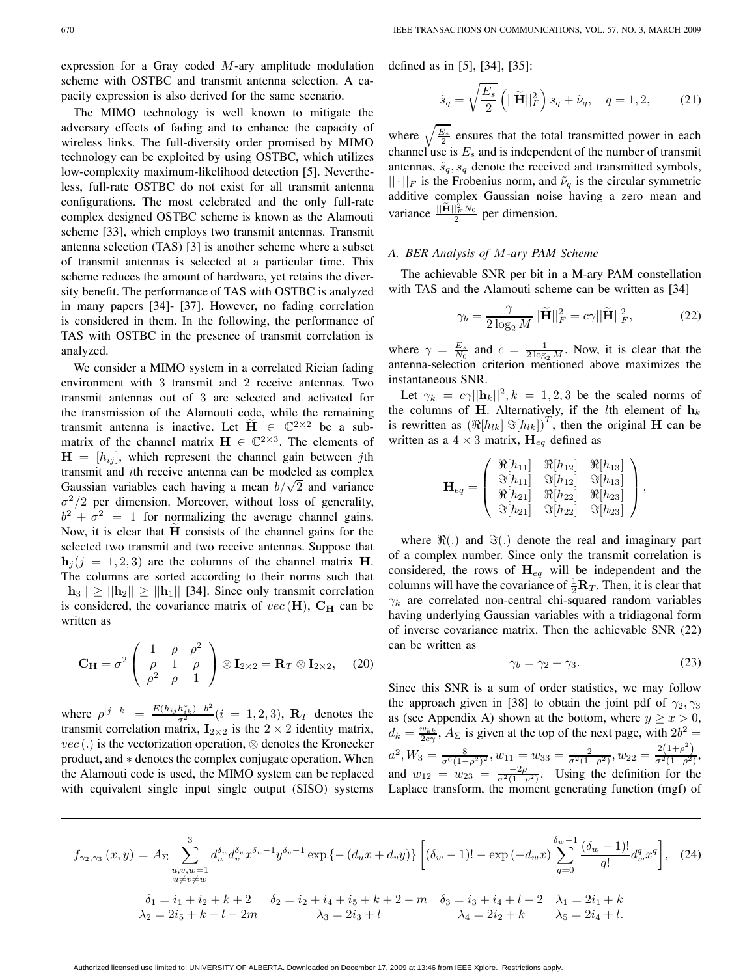expression for a Gray coded  $M$ -ary amplitude modulation scheme with OSTBC and transmit antenna selection. A capacity expression is also derived for the same scenario.

The MIMO technology is well known to mitigate the adversary effects of fading and to enhance the capacity of wireless links. The full-diversity order promised by MIMO technology can be exploited by using OSTBC, which utilizes low-complexity maximum-likelihood detection [5]. Nevertheless, full-rate OSTBC do not exist for all transmit antenna configurations. The most celebrated and the only full-rate complex designed OSTBC scheme is known as the Alamouti scheme [33], which employs two transmit antennas. Transmit antenna selection (TAS) [3] is another scheme where a subset of transmit antennas is selected at a particular time. This scheme reduces the amount of hardware, yet retains the diversity benefit. The performance of TAS with OSTBC is analyzed in many papers [34]- [37]. However, no fading correlation is considered in them. In the following, the performance of TAS with OSTBC in the presence of transmit correlation is analyzed.

We consider a MIMO system in a correlated Rician fading environment with 3 transmit and 2 receive antennas. Two transmit antennas out of 3 are selected and activated for the transmission of the Alamouti code, while the remaining transmit antenna is inactive. Let  $\tilde{H} \in \mathbb{C}^{2 \times 2}$  be a submatrix of the channel matrix  $\mathbf{H} \in \mathbb{C}^{2 \times 3}$ . The elements of  $H = [h_{ij}]$ , which represent the channel gain between *j*th transmit and ith receive antenna can be modeled as complex Gaussian variables each having a mean  $b/\sqrt{2}$  and variance  $\sigma^2/2$  per dimension. Moreover, without loss of generality,  $b^2 + \sigma^2 = 1$  for normalizing the average channel gains. Now, it is clear that  $\tilde{H}$  consists of the channel gains for the selected two transmit and two receive antennas. Suppose that  $h_i$  (j = 1, 2, 3) are the columns of the channel matrix **H**. The columns are sorted according to their norms such that  $||\mathbf{h}_3|| \ge ||\mathbf{h}_2|| \ge ||\mathbf{h}_1||$  [34]. Since only transmit correlation is considered, the covariance matrix of  $vec(\mathbf{H})$ ,  $\mathbf{C}_{\mathbf{H}}$  can be written as

$$
\mathbf{C}_{\mathbf{H}} = \sigma^2 \begin{pmatrix} 1 & \rho & \rho^2 \\ \rho & 1 & \rho \\ \rho^2 & \rho & 1 \end{pmatrix} \otimes \mathbf{I}_{2 \times 2} = \mathbf{R}_T \otimes \mathbf{I}_{2 \times 2}, \quad (20)
$$

where  $\rho^{|j-k|} = \frac{E(h_{ij}h_{ik}^*) - b^2}{\sigma^2} (i = 1, 2, 3)$ , **R**<sub>T</sub> denotes the correlation matrix **L**<sub>2</sub> a is the 2 × 2 identity matrix transmit correlation matrix,  $\mathbf{I}_{2\times 2}$  is the  $2 \times 2$  identity matrix,<br>*yec*() is the vectorization operation  $\otimes$  denotes the Kronecker  $vec(.)$  is the vectorization operation,  $\otimes$  denotes the Kronecker product, and ∗ denotes the complex conjugate operation. When the Alamouti code is used, the MIMO system can be replaced with equivalent single input single output (SISO) systems defined as in [5], [34], [35]:

$$
\tilde{s}_q = \sqrt{\frac{E_s}{2}} \left( ||\tilde{\mathbf{H}}||_F^2 \right) s_q + \tilde{\nu}_q, \quad q = 1, 2, \tag{21}
$$

where  $\sqrt{\frac{E_s}{2}}$  ensures that the total transmitted power in each channel use is E, and is independent of the number of transmit channel use is  $E_s$  and is independent of the number of transmit antennas,  $\tilde{s}_q$ ,  $s_q$  denote the received and transmitted symbols,  $||\cdot||_F$  is the Frobenius norm, and  $\tilde{\nu}_q$  is the circular symmetric additive complex Gaussian noise having a zero mean and variance  $\frac{\|\tilde{\mathbf{H}}\|_F^2 N_0}{2}$  per dimension.

#### *A. BER Analysis of* M*-ary PAM Scheme*

The achievable SNR per bit in a M-ary PAM constellation with TAS and the Alamouti scheme can be written as [34]

$$
\gamma_b = \frac{\gamma}{2 \log_2 M} ||\widetilde{\mathbf{H}}||_F^2 = c\gamma ||\widetilde{\mathbf{H}}||_F^2, \tag{22}
$$

where  $\gamma = \frac{E_s}{N_0}$  and  $c = \frac{1}{2 \log_2 M}$ . Now, it is clear that the antenna-selection criterion mentioned above maximizes the instantaneous SNR.

Let  $\gamma_k = c\gamma ||\mathbf{h}_k||^2$ ,  $k = 1, 2, 3$  be the scaled norms of the columns of **H**. Alternatively, if the *l*th element of  $h_k$ is rewritten as  $(\Re[h_{lk}]\Im[h_{lk}])^T$ , then the original **H** can be written as a  $4 \times 3$  matrix,  $H_{eq}$  defined as

$$
\mathbf{H}_{eq} = \left( \begin{array}{ccc} \Re[h_{11}] & \Re[h_{12}] & \Re[h_{13}] \\ \Im[h_{11}] & \Im[h_{12}] & \Im[h_{13}] \\ \Re[h_{21}] & \Re[h_{22}] & \Re[h_{23}] \\ \Im[h_{21}] & \Im[h_{22}] & \Im[h_{23}] \end{array} \right),
$$

where  $\Re(.)$  and  $\Im(.)$  denote the real and imaginary part of a complex number. Since only the transmit correlation is considered, the rows of  $H_{eq}$  will be independent and the columns will have the covariance of  $\frac{1}{2}R_T$ . Then, it is clear that  $\alpha_k$  are correlated non-central chi-squared random variables  $\gamma_k$  are correlated non-central chi-squared random variables having underlying Gaussian variables with a tridiagonal form of inverse covariance matrix. Then the achievable SNR (22) can be written as

$$
\gamma_b = \gamma_2 + \gamma_3. \tag{23}
$$

Since this SNR is a sum of order statistics, we may follow the approach given in [38] to obtain the joint pdf of  $\gamma_2, \gamma_3$ as (see Appendix A) shown at the bottom, where  $y \ge x > 0$ ,  $d_k = \frac{w_{kk}}{2c\gamma}$ ,  $A_{\Sigma}$  is given at the top of the next page, with  $2b^2 =$  $a^2, W_3 = \frac{8}{\sigma^6 (1-\rho^2)^2}, w_{11} = w_{33} = \frac{2}{\sigma^2 (1-\rho^2)}, w_{22} = \frac{2(1+\rho^2)}{\sigma^2 (1-\rho^2)},$ and  $w_{12} = w_{23} = \frac{-2\rho}{\sigma^2(1-\rho^2)}$ . Using the definition for the<br>Lanlace transform the moment generating function (mgf) of Laplace transform, the moment generating function (mgf) of

$$
f_{\gamma_2,\gamma_3}(x,y) = A_{\Sigma} \sum_{\substack{u,v,w=1 \\ u \neq v \neq w}}^{3} d_u^{\delta_u} d_v^{\delta_v} x^{\delta_u - 1} y^{\delta_v - 1} \exp \{ -(d_u x + d_v y) \} \left[ (\delta_w - 1)! - \exp(-d_w x) \sum_{q=0}^{\delta_w - 1} \frac{(\delta_w - 1)!}{q!} d_w^q x^q \right], \quad (24)
$$
  

$$
\delta_1 = i_1 + i_2 + k + 2 \quad \delta_2 = i_2 + i_4 + i_5 + k + 2 - m \quad \delta_3 = i_3 + i_4 + l + 2 \quad \lambda_1 = 2i_1 + k
$$
  

$$
\lambda_2 = 2i_5 + k + l - 2m \quad \lambda_3 = 2i_3 + l \quad \lambda_4 = 2i_2 + k \quad \lambda_5 = 2i_4 + l.
$$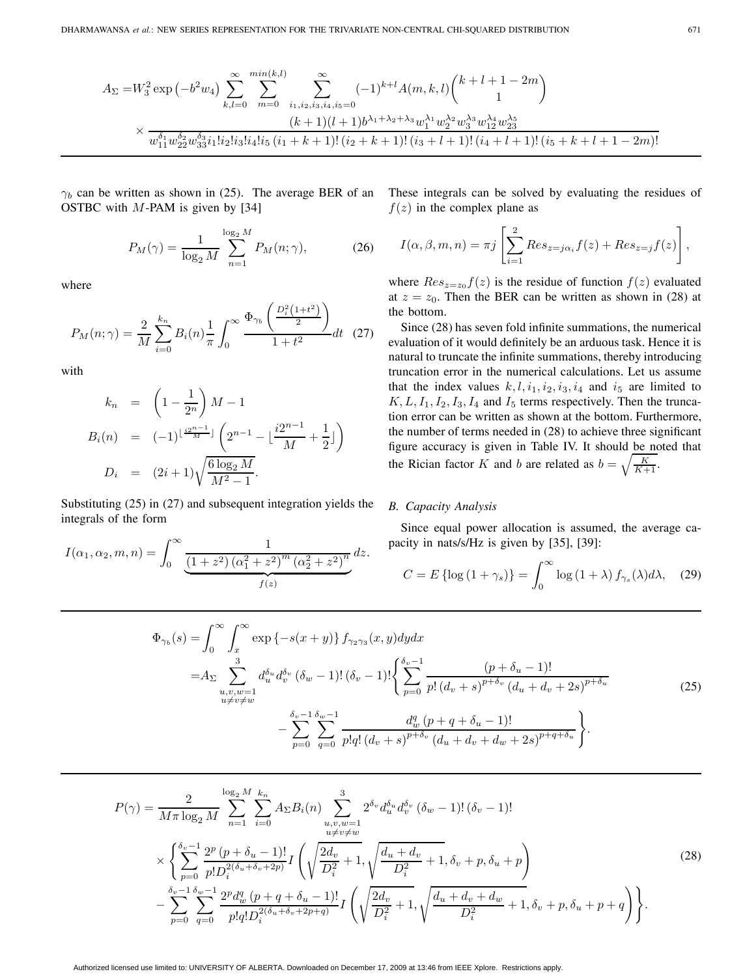$$
A_{\Sigma} = W_3^2 \exp\left(-b^2 w_4\right) \sum_{k,l=0}^{\infty} \sum_{m=0}^{\min(k,l)} \sum_{i_1,i_2,i_3,i_4,i_5=0}^{\infty} (-1)^{k+l} A(m,k,l) \binom{k+l+1-2m}{1}
$$
  
 
$$
\times \frac{(k+1)(l+1)b^{\lambda_1+\lambda_2+\lambda_3} w_1^{\lambda_1} w_2^{\lambda_2} w_3^{\lambda_3} w_{12}^{\lambda_4} w_2^{\lambda_5}}{w_{11}^{\delta_1} w_{22}^{\delta_2} w_{33}^{\delta_3} i_1! i_2! i_3! i_4! i_5 (i_1+k+1)! (i_2+k+1)! (i_3+l+1)! (i_4+l+1)! (i_5+k+l+1-2m)!}
$$

 $\gamma_b$  can be written as shown in (25). The average BER of an OSTBC with  $M$ -PAM is given by [34]

$$
P_M(\gamma) = \frac{1}{\log_2 M} \sum_{n=1}^{\log_2 M} P_M(n; \gamma),
$$
 (26)

where

$$
P_M(n; \gamma) = \frac{2}{M} \sum_{i=0}^{k_n} B_i(n) \frac{1}{\pi} \int_0^\infty \frac{\Phi_{\gamma_b} \left( \frac{D_i^2 (1 + t^2)}{2} \right)}{1 + t^2} dt \quad (27)
$$

with

$$
k_n = \left(1 - \frac{1}{2^n}\right)M - 1
$$
  
\n
$$
B_i(n) = (-1)^{\lfloor \frac{i2^{n-1}}{M} \rfloor} \left(2^{n-1} - \lfloor \frac{i2^{n-1}}{M} + \frac{1}{2} \rfloor\right)
$$
  
\n
$$
D_i = (2i+1)\sqrt{\frac{6\log_2 M}{M^2 - 1}}.
$$

Substituting (25) in (27) and subsequent integration yields the integrals of the form

$$
I(\alpha_1, \alpha_2, m, n) = \int_0^\infty \underbrace{\frac{1}{(1+z^2) (\alpha_1^2 + z^2)^m (\alpha_2^2 + z^2)^n}}_{f(z)} dz.
$$

These integrals can be solved by evaluating the residues of  $f(z)$  in the complex plane as

$$
I(\alpha, \beta, m, n) = \pi j \left[ \sum_{i=1}^{2} Res_{z=j\alpha_i} f(z) + Res_{z=j} f(z) \right],
$$

where  $Res_{z=z_0}f(z)$  is the residue of function  $f(z)$  evaluated at  $z = z_0$ . Then the BER can be written as shown in (28) at the bottom.

Since (28) has seven fold infinite summations, the numerical evaluation of it would definitely be an arduous task. Hence it is natural to truncate the infinite summations, thereby introducing truncation error in the numerical calculations. Let us assume that the index values  $k, l, i_1, i_2, i_3, i_4$  and  $i_5$  are limited to  $K, L, I_1, I_2, I_3, I_4$  and  $I_5$  terms respectively. Then the truncation error can be written as shown at the bottom. Furthermore, the number of terms needed in (28) to achieve three significant figure accuracy is given in Table IV. It should be noted that the Rician factor K and b are related as  $b = \sqrt{\frac{K}{K+1}}$ .

#### *B. Capacity Analysis*

Since equal power allocation is assumed, the average capacity in nats/s/Hz is given by [35], [39]:

$$
C = E\left\{\log\left(1+\gamma_s\right)\right\} = \int_0^\infty \log\left(1+\lambda\right) f_{\gamma_s}(\lambda) d\lambda, \quad (29)
$$

$$
\Phi_{\gamma_b}(s) = \int_0^\infty \int_x^\infty \exp\left\{-s(x+y)\right\} f_{\gamma_2\gamma_3}(x,y) dy dx
$$
  
\n
$$
= A_{\Sigma} \sum_{\substack{u,v,w=1 \\ u \neq v \neq w}} d_u^{\delta_u} d_v^{\delta_v} (\delta_w - 1)! (\delta_v - 1)! \left\{ \sum_{p=0}^{\delta_v - 1} \frac{(p + \delta_u - 1)!}{p! (d_v + s)^{p + \delta_v} (d_u + d_v + 2s)^{p + \delta_u}} - \sum_{p=0}^{\delta_v - 1} \sum_{q=0}^{\delta_w - 1} \frac{d_w^q (p + q + \delta_u - 1)!}{p! q! (d_v + s)^{p + \delta_v} (d_u + d_v + d_w + 2s)^{p + q + \delta_u}} \right\}.
$$
\n(25)

$$
P(\gamma) = \frac{2}{M\pi \log_2 M} \sum_{n=1}^{\log_2 M} \sum_{i=0}^{k_n} A_{\Sigma} B_i(n) \sum_{\substack{u,v,w=1 \\ u \neq v \neq w}}^{\infty} 2^{\delta_v} d_u^{\delta_u} d_v^{\delta_v} (\delta_w - 1)! (\delta_v - 1)! \times \left\{ \sum_{p=0}^{\delta_v - 1} \frac{2^p (p + \delta_u - 1)!}{p! D_i^{2(\delta_u + \delta_v + 2p)}} I\left(\sqrt{\frac{2d_v}{D_i^2} + 1}, \sqrt{\frac{d_u + d_v}{D_i^2} + 1}, \delta_v + p, \delta_u + p\right) \right. \left. - \sum_{p=0}^{\delta_v - 1} \sum_{q=0}^{\delta_w - 1} \frac{2^p d_w^q (p + q + \delta_u - 1)!}{p! q! D_i^{2(\delta_u + \delta_v + 2p + q)}} I\left(\sqrt{\frac{2d_v}{D_i^2} + 1}, \sqrt{\frac{d_u + d_v + d_w}{D_i^2} + 1}, \delta_v + p, \delta_u + p + q\right) \right\}.
$$
\n(28)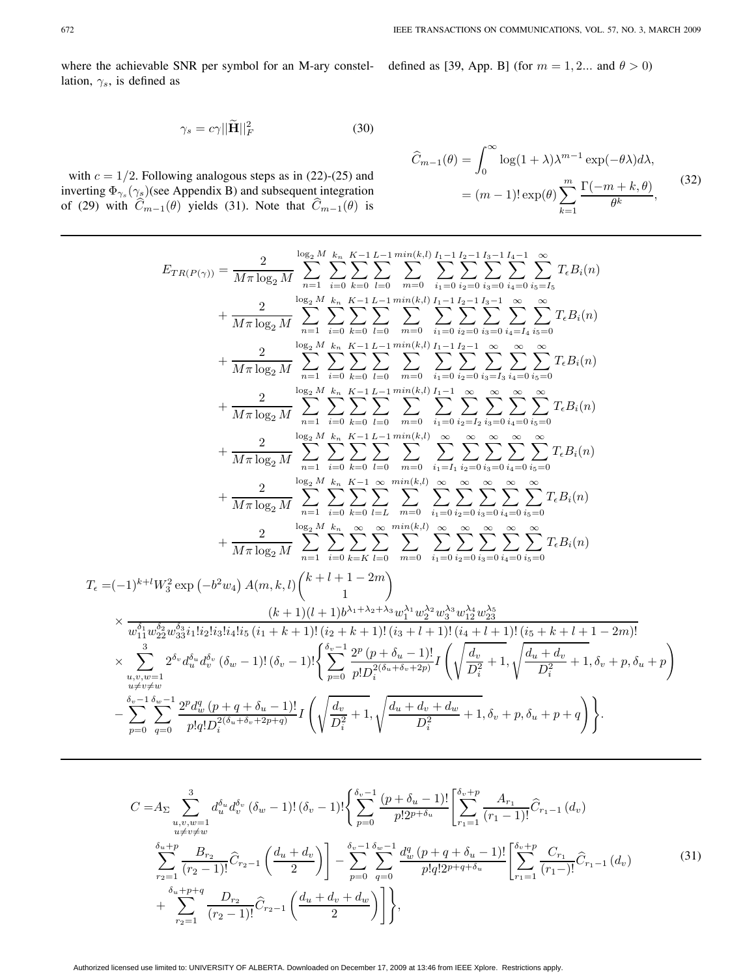where the achievable SNR per symbol for an M-ary constellation,  $\gamma_s$ , is defined as

defined as [39, App. B] (for  $m = 1, 2...$  and  $\theta > 0$ )

$$
\gamma_s = c\gamma ||\widetilde{\mathbf{H}}||_F^2 \tag{30}
$$

with 
$$
c = 1/2
$$
. Following analogous steps as in (22)-(25) and  
inverting  $\Phi_{\gamma_s}(\gamma_s)$  (see Appendix B) and subsequent integration  
of (29) with  $\hat{C}_{m-1}(\theta)$  yields (31). Note that  $\hat{C}_{m-1}(\theta)$  is

$$
\widehat{C}_{m-1}(\theta) = \int_0^\infty \log(1+\lambda)\lambda^{m-1} \exp(-\theta\lambda)d\lambda,
$$

$$
= (m-1)!\exp(\theta)\sum_{k=1}^m \frac{\Gamma(-m+k,\theta)}{\theta^k},
$$
(32)

$$
E_{TR(P(\gamma))} = \frac{2}{M\pi \log_2 M} \sum_{n=1}^{\log_2 M} \sum_{k=0}^{K} \sum_{l=0}^{K-1} \sum_{m=0}^{L-1} \sum_{i=0}^{\min(k,l)} \sum_{i=0}^{I_1} \sum_{i=0}^{I_2-1} \sum_{i=0}^{I_3-1} \sum_{i=0}^{I_4-1} \sum_{i=0}^{K} \sum_{i=0}^{K} \sum_{i=0}^{I_5-1} \sum_{i=0}^{K} \sum_{i=0}^{I_5-1} \sum_{i=0}^{K} \sum_{i=0}^{I_5-1} \sum_{i=0}^{K} \sum_{i=0}^{K} \sum_{i=0}^{K} \sum_{i=0}^{K} \sum_{i=0}^{K} \sum_{i=0}^{K} \sum_{i=0}^{K} \sum_{i=0}^{K} \sum_{i=0}^{K} \sum_{i=0}^{K} \sum_{i=0}^{K} \sum_{i=0}^{K} \sum_{i=0}^{K} \sum_{i=0}^{K} \sum_{i=0}^{K} \sum_{i=0}^{K} \sum_{i=0}^{K} \sum_{i=0}^{K} \sum_{i=0}^{K} \sum_{i=0}^{K} \sum_{i=0}^{K} \sum_{i=0}^{K} \sum_{i=0}^{K} \sum_{i=0}^{K} \sum_{i=0}^{K} \sum_{i=0}^{K} \sum_{i=0}^{K} \sum_{i=0}^{K} \sum_{i=0}^{K} \sum_{i=0}^{K} \sum_{i=0}^{K} \sum_{i=0}^{K} \sum_{i=0}^{K} \sum_{i=0}^{K} \sum_{i=0}^{K} \sum_{i=0}^{K} \sum_{i=0}^{K} \sum_{i=0}^{K} \sum_{i=0}^{K} \sum_{i=0}^{K} \sum_{i=0}^{K} \sum_{i=0}^{K} \sum_{i=0}^{K} \sum_{i=0}^{K} \sum_{i=0}^{K} \sum_{i=0}^{K} \sum_{i=0}^{K} \sum_{i=0}^{K} \sum_{i=0}^{K} \sum_{i=0}^{K} \sum_{i=0}^{K} \sum_{i=0}^{K} \sum_{i=0}^{K} \sum_{i=0}^{K
$$

$$
C = A_{\Sigma} \sum_{\substack{u,v,w=1 \ u \neq v \neq w}}^{3} d_{u}^{\delta_{u}} d_{v}^{\delta_{v}} (\delta_{w} - 1)! (\delta_{v} - 1)! \left\{ \sum_{p=0}^{s_{v}-1} \frac{(p + \delta_{u} - 1)!}{p!2^{p + \delta_{u}}} \left[ \sum_{r_{1}=1}^{s_{v}+p} \frac{A_{r_{1}}}{(r_{1}-1)!} \hat{C}_{r_{1}-1} (d_{v}) \right] \right\}
$$
  

$$
\sum_{r_{2}=1}^{\delta_{u}+p} \frac{B_{r_{2}}}{(r_{2}-1)!} \hat{C}_{r_{2}-1} \left( \frac{d_{u} + d_{v}}{2} \right) \bigg] - \sum_{p=0}^{s_{v}-1} \sum_{q=0}^{s_{w}-1} \frac{d_{w}^{q} (p + q + \delta_{u} - 1)!}{p!q!2^{p+q+\delta_{u}}} \left[ \sum_{r_{1}=1}^{s_{v}+p} \frac{C_{r_{1}}}{(r_{1}-)!} \hat{C}_{r_{1}-1} (d_{v}) \right]
$$
  
+ 
$$
\sum_{r_{2}=1}^{\delta_{u}+p+q} \frac{D_{r_{2}}}{(r_{2}-1)!} \hat{C}_{r_{2}-1} \left( \frac{d_{u} + d_{v} + d_{w}}{2} \right) \bigg] \bigg\},
$$
  
(31)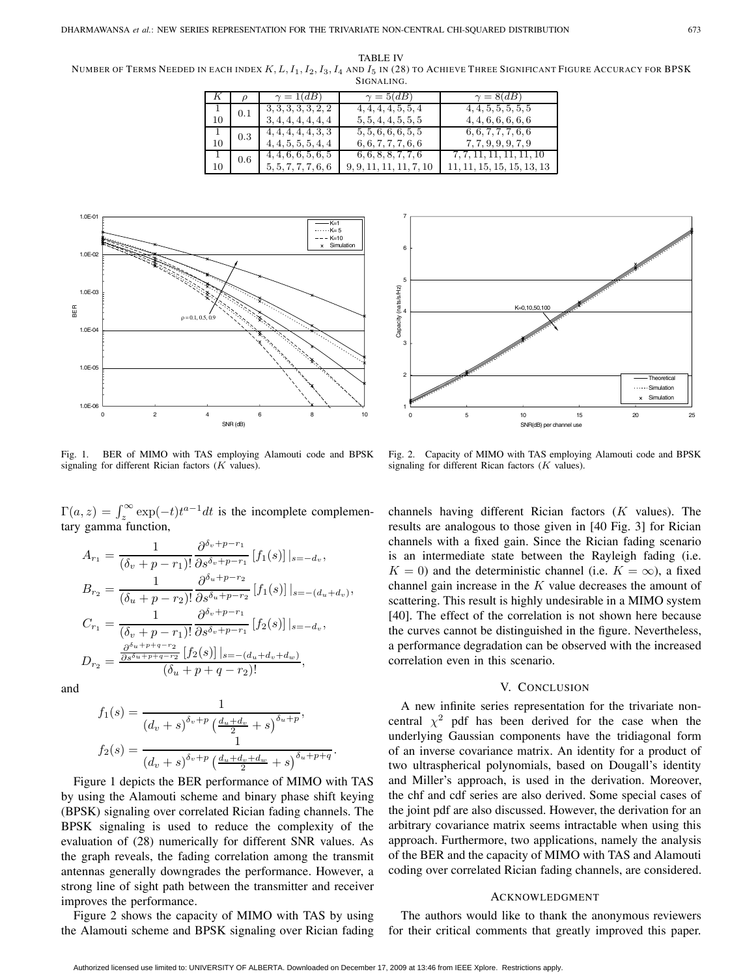TABLE IV NUMBER OF TERMS NEEDED IN EACH INDEX  $K, L, I_1, I_2, I_3, I_4$  and  $I_5$  in (28) to Achieve Three Significant Figure Accuracy for BPSK SIGNALING.

| K  |     | $\gamma = 1(dB)$    | $\gamma = 5(dB)$        | $\gamma = 8(dB)$           |
|----|-----|---------------------|-------------------------|----------------------------|
|    | 0.1 | 3, 3, 3, 3, 3, 2, 2 | 4, 4, 4, 4, 5, 5, 4     | 4, 4, 5, 5, 5, 5, 5        |
| 10 |     | 3, 4, 4, 4, 4, 4, 4 | 5, 5, 4, 4, 5, 5, 5     | 4, 4, 6, 6, 6, 6, 6        |
|    | 0.3 | 4, 4, 4, 4, 4, 3, 3 | 5, 5, 6, 6, 6, 5, 5     | 6, 6, 7, 7, 7, 6, 6        |
| 10 |     | 4, 4, 5, 5, 5, 4, 4 | 6, 6, 7, 7, 7, 6, 6     | 7, 7, 9, 9, 9, 7, 9        |
|    | 0.6 | 4, 4, 6, 6, 5, 6, 5 | 6, 6, 8, 8, 7, 7, 6     | 7, 7, 11, 11, 11, 11, 10   |
| 10 |     | 5, 5, 7, 7, 7, 6, 6 | 9, 9, 11, 11, 11, 7, 10 | 11, 11, 15, 15, 15, 13, 13 |



Fig. 1. BER of MIMO with TAS employing Alamouti code and BPSK signaling for different Rician factors  $(K$  values).

 $\Gamma(a, z) = \int_{z}^{\infty} \exp(-t) t^{a-1} dt$  is the incomplete complementary gamma function tary gamma function,

$$
A_{r_1} = \frac{1}{(\delta_v + p - r_1)!} \frac{\partial^{\delta_v + p - r_1}}{\partial s^{\delta_v + p - r_1}} [f_1(s)]|_{s = -d_v},
$$
  
\n
$$
B_{r_2} = \frac{1}{(\delta_u + p - r_2)!} \frac{\partial^{\delta_u + p - r_2}}{\partial s^{\delta_u + p - r_2}} [f_1(s)]|_{s = -(d_u + d_v)},
$$
  
\n
$$
C_{r_1} = \frac{1}{(\delta_v + p - r_1)!} \frac{\partial^{\delta_v + p - r_1}}{\partial s^{\delta_v + p - r_1}} [f_2(s)]|_{s = -d_v},
$$
  
\n
$$
D_{r_2} = \frac{\frac{\partial^{s_u + p + q - r_2}{\partial s^{\delta_u + p + q - r_2}} [f_2(s)]|_{s = -(d_u + d_v + d_w)}}{(\delta_u + p + q - r_2)!},
$$

and

$$
f_1(s) = \frac{1}{(d_v + s)^{\delta_v + p} \left(\frac{d_u + d_v}{2} + s\right)^{\delta_u + p}},
$$

$$
f_2(s) = \frac{1}{(d_v + s)^{\delta_v + p} \left(\frac{d_u + d_v + d_w}{2} + s\right)^{\delta_u + p + q}}.
$$
  
Figure 1 depicts the BER performance of MIMO with TAS

by using the Alamouti scheme and binary phase shift keying (BPSK) signaling over correlated Rician fading channels. The BPSK signaling is used to reduce the complexity of the evaluation of (28) numerically for different SNR values. As the graph reveals, the fading correlation among the transmit antennas generally downgrades the performance. However, a strong line of sight path between the transmitter and receiver improves the performance.

Figure 2 shows the capacity of MIMO with TAS by using the Alamouti scheme and BPSK signaling over Rician fading



Fig. 2. Capacity of MIMO with TAS employing Alamouti code and BPSK signaling for different Rican factors  $(K$  values).

channels having different Rician factors  $(K$  values). The results are analogous to those given in [40 Fig. 3] for Rician channels with a fixed gain. Since the Rician fading scenario is an intermediate state between the Rayleigh fading (i.e.  $K = 0$ ) and the deterministic channel (i.e.  $K = \infty$ ), a fixed channel gain increase in the  $K$  value decreases the amount of scattering. This result is highly undesirable in a MIMO system [40]. The effect of the correlation is not shown here because the curves cannot be distinguished in the figure. Nevertheless, a performance degradation can be observed with the increased correlation even in this scenario.

## V. CONCLUSION

A new infinite series representation for the trivariate noncentral  $\chi^2$  pdf has been derived for the case when the underlying Gaussian components have the tridiagonal form of an inverse covariance matrix. An identity for a product of two ultraspherical polynomials, based on Dougall's identity and Miller's approach, is used in the derivation. Moreover, the chf and cdf series are also derived. Some special cases of the joint pdf are also discussed. However, the derivation for an arbitrary covariance matrix seems intractable when using this approach. Furthermore, two applications, namely the analysis of the BER and the capacity of MIMO with TAS and Alamouti coding over correlated Rician fading channels, are considered.

#### ACKNOWLEDGMENT

The authors would like to thank the anonymous reviewers for their critical comments that greatly improved this paper.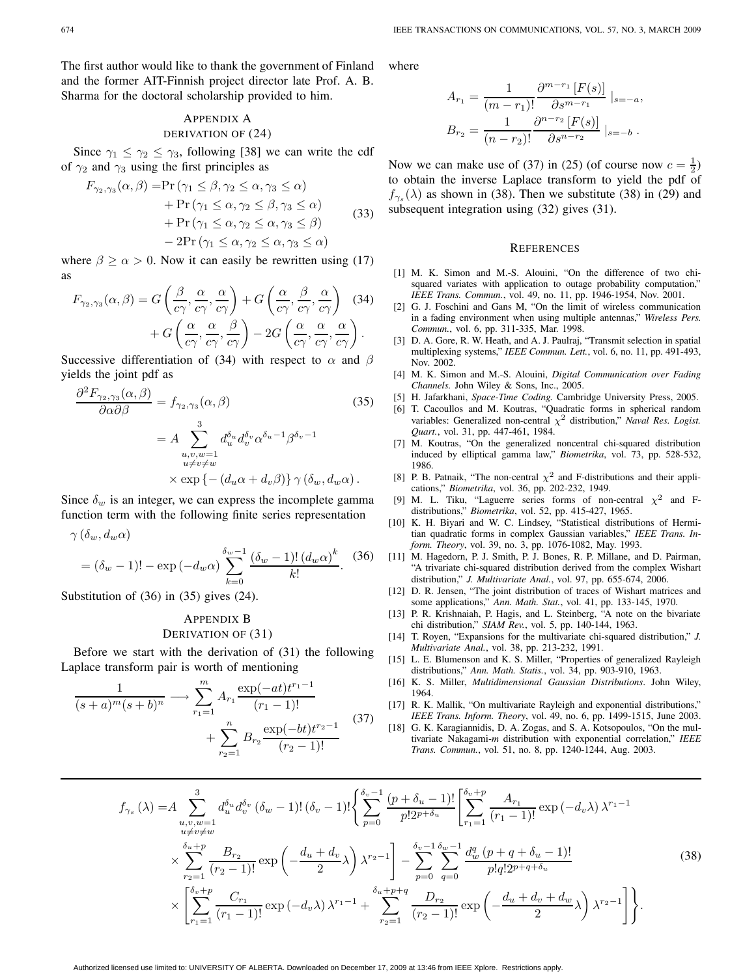The first author would like to thank the government of Finland and the former AIT-Finnish project director late Prof. A. B. Sharma for the doctoral scholarship provided to him.

## APPENDIX A DERIVATION OF (24)

Since  $\gamma_1 \leq \gamma_2 \leq \gamma_3$ , following [38] we can write the cdf of  $\gamma_2$  and  $\gamma_3$  using the first principles as

$$
F_{\gamma_2,\gamma_3}(\alpha,\beta) = \Pr(\gamma_1 \le \beta, \gamma_2 \le \alpha, \gamma_3 \le \alpha) + \Pr(\gamma_1 \le \alpha, \gamma_2 \le \beta, \gamma_3 \le \alpha) + \Pr(\gamma_1 \le \alpha, \gamma_2 \le \alpha, \gamma_3 \le \beta) - 2\Pr(\gamma_1 \le \alpha, \gamma_2 \le \alpha, \gamma_3 \le \alpha)
$$
 (33)

where  $\beta \ge \alpha > 0$ . Now it can easily be rewritten using (17) as

$$
F_{\gamma_2,\gamma_3}(\alpha,\beta) = G\left(\frac{\beta}{c\gamma},\frac{\alpha}{c\gamma},\frac{\alpha}{c\gamma}\right) + G\left(\frac{\alpha}{c\gamma},\frac{\beta}{c\gamma},\frac{\alpha}{c\gamma}\right)
$$
(34)  
+ 
$$
G\left(\frac{\alpha}{c\gamma},\frac{\alpha}{c\gamma},\frac{\beta}{c\gamma}\right) - 2G\left(\frac{\alpha}{c\gamma},\frac{\alpha}{c\gamma},\frac{\alpha}{c\gamma}\right).
$$

Successive differentiation of (34) with respect to  $\alpha$  and  $\beta$ yields the joint pdf as

$$
\frac{\partial^2 F_{\gamma_2,\gamma_3}(\alpha,\beta)}{\partial \alpha \partial \beta} = f_{\gamma_2,\gamma_3}(\alpha,\beta) \tag{35}
$$
\n
$$
= A \sum_{\substack{u,v,w=1 \\ u \neq v \neq w}}^{3} d_u^{\delta_u} d_v^{\delta_v} \alpha^{\delta_u - 1} \beta^{\delta_v - 1}
$$
\n
$$
\times \exp \{ -(d_u \alpha + d_v \beta) \} \gamma (\delta_w, d_w \alpha).
$$

Since  $\delta_w$  is an integer, we can express the incomplete gamma function term with the following finite series representation

$$
\gamma\left(\delta_{w},d_{w}\alpha\right)
$$

$$
= (\delta_w - 1)! - \exp(-d_w \alpha) \sum_{k=0}^{\delta_w - 1} \frac{(\delta_w - 1)! (d_w \alpha)^k}{k!}.
$$
 (36)  
Substitution of (36) in (35) gives (24).

# APPENDIX B DERIVATION OF (31)

Before we start with the derivation of (31) the following Laplace transform pair is worth of mentioning

$$
\frac{1}{(s+a)^m(s+b)^n} \longrightarrow \sum_{r_1=1}^m A_{r_1} \frac{\exp(-at)t^{r_1-1}}{(r_1-1)!} + \sum_{r_2=1}^n B_{r_2} \frac{\exp(-bt)t^{r_2-1}}{(r_2-1)!}
$$
\n(37)

where

$$
A_{r_1} = \frac{1}{(m-r_1)!} \frac{\partial^{m-r_1} [F(s)]}{\partial s^{m-r_1}} \Big|_{s=-a},
$$
  

$$
B_{r_2} = \frac{1}{(n-r_2)!} \frac{\partial^{n-r_2} [F(s)]}{\partial s^{n-r_2}} \Big|_{s=-b}.
$$

Now we can make use of (37) in (25) (of course now  $c = \frac{1}{2}$ )<br>to obtain the inverse I anlace transform to yield the ndf of to obtain the inverse Laplace transform to yield the pdf of  $f_{\gamma_s}(\lambda)$  as shown in (38). Then we substitute (38) in (29) and subsequent integration using (32) gives (31).

### **REFERENCES**

- [1] M. K. Simon and M.-S. Alouini, "On the difference of two chisquared variates with application to outage probability computation," *IEEE Trans. Commun.*, vol. 49, no. 11, pp. 1946-1954, Nov. 2001.
- [2] G. J. Foschini and Gans M, "On the limit of wireless communication in a fading environment when using multiple antennas," *Wireless Pers. Commun.*, vol. 6, pp. 311-335, Mar. 1998.
- [3] D. A. Gore, R. W. Heath, and A. J. Paulraj, "Transmit selection in spatial multiplexing systems," *IEEE Commun. Lett.*, vol. 6, no. 11, pp. 491-493, Nov. 2002.
- [4] M. K. Simon and M.-S. Alouini, *Digital Communication over Fading Channels.* John Wiley & Sons, Inc., 2005.
- [5] H. Jafarkhani, *Space-Time Coding.* Cambridge University Press, 2005.
- [6] T. Cacoullos and M. Koutras, "Quadratic forms in spherical random variables: Generalized non-central χ<sup>2</sup> distribution," *Naval Res. Logist. Quart.*, vol. 31, pp. 447-461, 1984.
- [7] M. Koutras, "On the generalized noncentral chi-squared distribution induced by elliptical gamma law," *Biometrika*, vol. 73, pp. 528-532, 1986.
- [8] P. B. Patnaik, "The non-central  $\chi^2$  and F-distributions and their applications," *Biometrika*, vol. 36, pp. 202-232, 1949.
- [9] M. L. Tiku, "Laguerre series forms of non-central  $\chi^2$  and Fdistributions," *Biometrika*, vol. 52, pp. 415-427, 1965.
- [10] K. H. Biyari and W. C. Lindsey, "Statistical distributions of Hermitian quadratic forms in complex Gaussian variables," *IEEE Trans. Inform. Theory*, vol. 39, no. 3, pp. 1076-1082, May. 1993.
- [11] M. Hagedorn, P. J. Smith, P. J. Bones, R. P. Millane, and D. Pairman, "A trivariate chi-squared distribution derived from the complex Wishart distribution," *J. Multivariate Anal.*, vol. 97, pp. 655-674, 2006.
- [12] D. R. Jensen, "The joint distribution of traces of Wishart matrices and some applications," *Ann. Math. Stat.*, vol. 41, pp. 133-145, 1970.
- [13] P. R. Krishnaiah, P. Hagis, and L. Steinberg, "A note on the bivariate chi distribution," *SIAM Rev.*, vol. 5, pp. 140-144, 1963.
- [14] T. Royen, "Expansions for the multivariate chi-squared distribution," *J. Multivariate Anal.*, vol. 38, pp. 213-232, 1991.
- [15] L. E. Blumenson and K. S. Miller, "Properties of generalized Rayleigh distributions," *Ann. Math. Statis.*, vol. 34, pp. 903-910, 1963.
- [16] K. S. Miller, *Multidimensional Gaussian Distributions*. John Wiley, 1964.
- [17] R. K. Mallik, "On multivariate Rayleigh and exponential distributions," *IEEE Trans. Inform. Theory*, vol. 49, no. 6, pp. 1499-1515, June 2003.
- [18] G. K. Karagiannidis, D. A. Zogas, and S. A. Kotsopoulos, "On the multivariate Nakagami-*m* distribution with exponential correlation," *IEEE Trans. Commun.*, vol. 51, no. 8, pp. 1240-1244, Aug. 2003.

$$
f_{\gamma_s}(\lambda) = A \sum_{\substack{u,v,w=1 \ u \neq v \neq w}}^{3} d_u^{\delta_u} d_v^{\delta_v} (\delta_w - 1)! (\delta_v - 1)! \left\{ \sum_{p=0}^{s_v-1} \frac{(p + \delta_u - 1)!}{p!2^{p+\delta_u}} \left[ \sum_{r_1=1}^{s_v+p} \frac{A_{r_1}}{(r_1-1)!} \exp(-d_v \lambda) \lambda^{r_1-1} \right] \right\}
$$
  

$$
\times \sum_{r_2=1}^{s_v+p} \frac{B_{r_2}}{(r_2-1)!} \exp\left(-\frac{d_u + d_v}{2} \lambda\right) \lambda^{r_2-1} \left[ -\sum_{p=0}^{s_v-1} \sum_{q=0}^{s_w-1} \frac{d_v^q (p + q + \delta_u - 1)!}{p!q!2^{p+q+\delta_u}} \right]
$$
  

$$
\times \left[ \sum_{r_1=1}^{s_v+p} \frac{C_{r_1}}{(r_1-1)!} \exp(-d_v \lambda) \lambda^{r_1-1} + \sum_{r_2=1}^{s_u+p+q} \frac{D_{r_2}}{(r_2-1)!} \exp\left(-\frac{d_u + d_v + d_w}{2} \lambda\right) \lambda^{r_2-1} \right] \right\}.
$$
 (38)